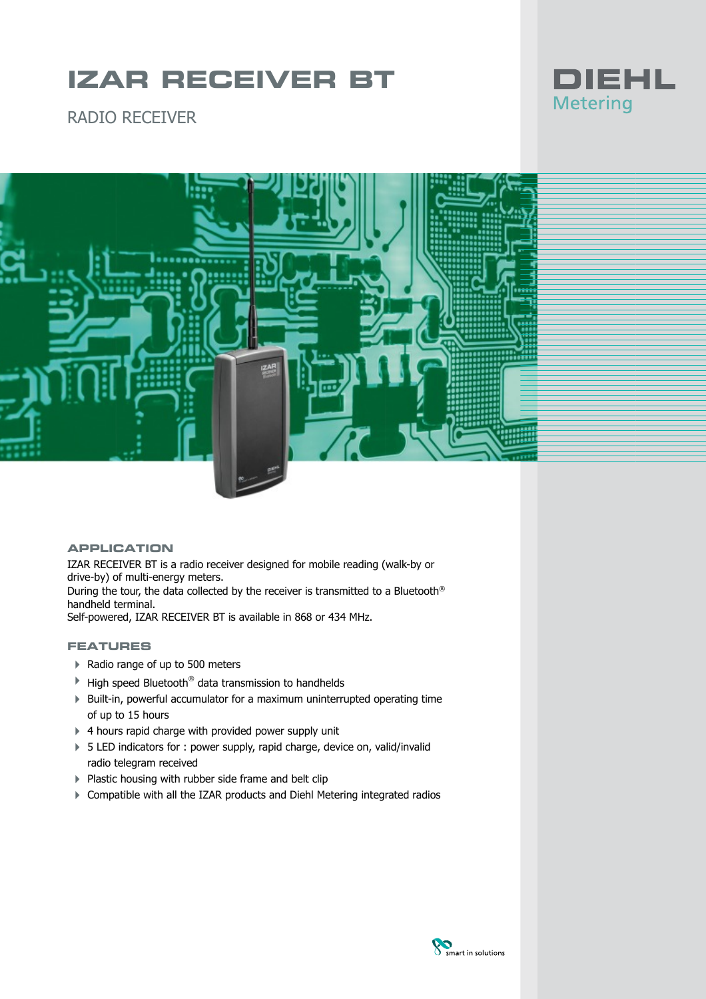## **IZAR RECEIVER BT**



RADIO RECEIVER



### **APPLICATION**

IZAR RECEIVER BT is a radio receiver designed for mobile reading (walk-by or drive-by) of multi-energy meters. During the tour, the data collected by the receiver is transmitted to a Bluetooth ® handheld terminal. Self-powered, IZAR RECEIVER BT is available in 868 or 434 MHz.

### **FEATURES**

- ▶ Radio range of up to 500 meters
- $\blacktriangleright$  High speed Bluetooth® data transmission to handhelds
- ▶ Built-in, powerful accumulator for a maximum uninterrupted operating time of up to 15 hours
- ▶ 4 hours rapid charge with provided power supply unit
- ▶ 5 LED indicators for : power supply, rapid charge, device on, valid/invalid radio telegram received
- ▶ Plastic housing with rubber side frame and belt clip
- 4 Compatible with all the IZAR products and Diehl Metering integrated radios